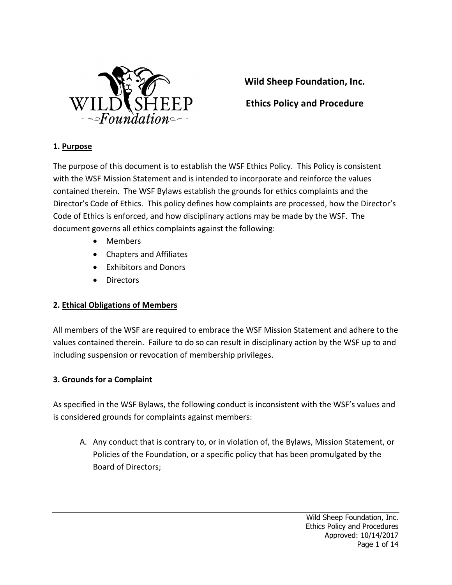

**Wild Sheep Foundation, Inc.** 

**Ethics Policy and Procedure**

#### **1. Purpose**

The purpose of this document is to establish the WSF Ethics Policy. This Policy is consistent with the WSF Mission Statement and is intended to incorporate and reinforce the values contained therein. The WSF Bylaws establish the grounds for ethics complaints and the Director's Code of Ethics. This policy defines how complaints are processed, how the Director's Code of Ethics is enforced, and how disciplinary actions may be made by the WSF. The document governs all ethics complaints against the following:

- Members
- Chapters and Affiliates
- **Exhibitors and Donors**
- Directors

#### **2. Ethical Obligations of Members**

All members of the WSF are required to embrace the WSF Mission Statement and adhere to the values contained therein. Failure to do so can result in disciplinary action by the WSF up to and including suspension or revocation of membership privileges.

#### **3. Grounds for a Complaint**

As specified in the WSF Bylaws, the following conduct is inconsistent with the WSF's values and is considered grounds for complaints against members:

A. Any conduct that is contrary to, or in violation of, the Bylaws, Mission Statement, or Policies of the Foundation, or a specific policy that has been promulgated by the Board of Directors;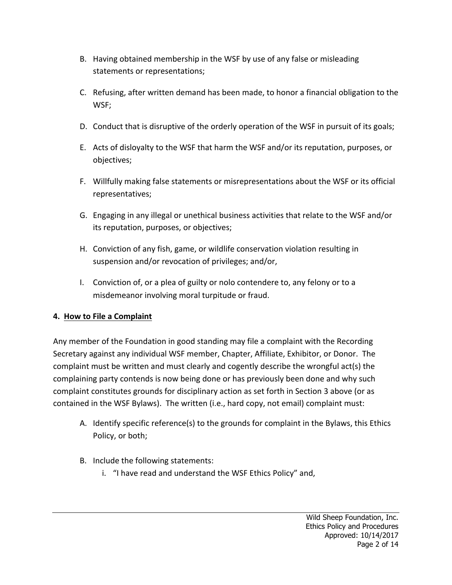- B. Having obtained membership in the WSF by use of any false or misleading statements or representations;
- C. Refusing, after written demand has been made, to honor a financial obligation to the WSF;
- D. Conduct that is disruptive of the orderly operation of the WSF in pursuit of its goals;
- E. Acts of disloyalty to the WSF that harm the WSF and/or its reputation, purposes, or objectives;
- F. Willfully making false statements or misrepresentations about the WSF or its official representatives;
- G. Engaging in any illegal or unethical business activities that relate to the WSF and/or its reputation, purposes, or objectives;
- H. Conviction of any fish, game, or wildlife conservation violation resulting in suspension and/or revocation of privileges; and/or,
- I. Conviction of, or a plea of guilty or nolo contendere to, any felony or to a misdemeanor involving moral turpitude or fraud.

# **4. How to File a Complaint**

Any member of the Foundation in good standing may file a complaint with the Recording Secretary against any individual WSF member, Chapter, Affiliate, Exhibitor, or Donor. The complaint must be written and must clearly and cogently describe the wrongful act(s) the complaining party contends is now being done or has previously been done and why such complaint constitutes grounds for disciplinary action as set forth in Section 3 above (or as contained in the WSF Bylaws). The written (i.e., hard copy, not email) complaint must:

- A. Identify specific reference(s) to the grounds for complaint in the Bylaws, this Ethics Policy, or both;
- B. Include the following statements:
	- i. "I have read and understand the WSF Ethics Policy" and,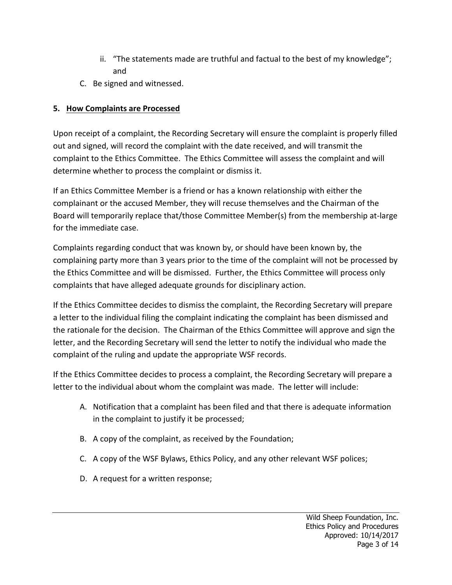- ii. "The statements made are truthful and factual to the best of my knowledge"; and
- C. Be signed and witnessed.

# **5. How Complaints are Processed**

Upon receipt of a complaint, the Recording Secretary will ensure the complaint is properly filled out and signed, will record the complaint with the date received, and will transmit the complaint to the Ethics Committee. The Ethics Committee will assess the complaint and will determine whether to process the complaint or dismiss it.

If an Ethics Committee Member is a friend or has a known relationship with either the complainant or the accused Member, they will recuse themselves and the Chairman of the Board will temporarily replace that/those Committee Member(s) from the membership at-large for the immediate case.

Complaints regarding conduct that was known by, or should have been known by, the complaining party more than 3 years prior to the time of the complaint will not be processed by the Ethics Committee and will be dismissed. Further, the Ethics Committee will process only complaints that have alleged adequate grounds for disciplinary action.

If the Ethics Committee decides to dismiss the complaint, the Recording Secretary will prepare a letter to the individual filing the complaint indicating the complaint has been dismissed and the rationale for the decision. The Chairman of the Ethics Committee will approve and sign the letter, and the Recording Secretary will send the letter to notify the individual who made the complaint of the ruling and update the appropriate WSF records.

If the Ethics Committee decides to process a complaint, the Recording Secretary will prepare a letter to the individual about whom the complaint was made. The letter will include:

- A. Notification that a complaint has been filed and that there is adequate information in the complaint to justify it be processed;
- B. A copy of the complaint, as received by the Foundation;
- C. A copy of the WSF Bylaws, Ethics Policy, and any other relevant WSF polices;
- D. A request for a written response;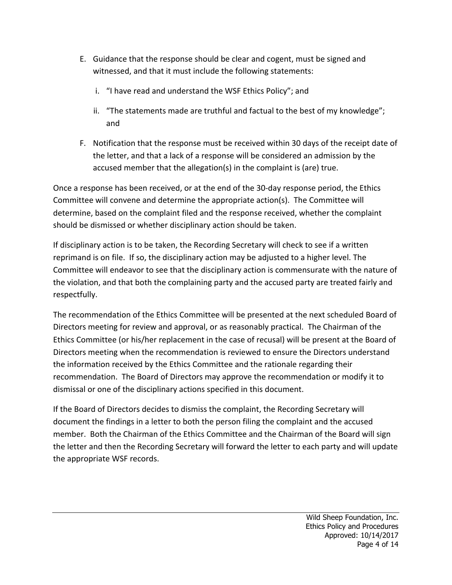- E. Guidance that the response should be clear and cogent, must be signed and witnessed, and that it must include the following statements:
	- i. "I have read and understand the WSF Ethics Policy"; and
	- ii. "The statements made are truthful and factual to the best of my knowledge"; and
- F. Notification that the response must be received within 30 days of the receipt date of the letter, and that a lack of a response will be considered an admission by the accused member that the allegation(s) in the complaint is (are) true.

Once a response has been received, or at the end of the 30-day response period, the Ethics Committee will convene and determine the appropriate action(s). The Committee will determine, based on the complaint filed and the response received, whether the complaint should be dismissed or whether disciplinary action should be taken.

If disciplinary action is to be taken, the Recording Secretary will check to see if a written reprimand is on file. If so, the disciplinary action may be adjusted to a higher level. The Committee will endeavor to see that the disciplinary action is commensurate with the nature of the violation, and that both the complaining party and the accused party are treated fairly and respectfully. 

The recommendation of the Ethics Committee will be presented at the next scheduled Board of Directors meeting for review and approval, or as reasonably practical. The Chairman of the Ethics Committee (or his/her replacement in the case of recusal) will be present at the Board of Directors meeting when the recommendation is reviewed to ensure the Directors understand the information received by the Ethics Committee and the rationale regarding their recommendation. The Board of Directors may approve the recommendation or modify it to dismissal or one of the disciplinary actions specified in this document.

If the Board of Directors decides to dismiss the complaint, the Recording Secretary will document the findings in a letter to both the person filing the complaint and the accused member. Both the Chairman of the Ethics Committee and the Chairman of the Board will sign the letter and then the Recording Secretary will forward the letter to each party and will update the appropriate WSF records.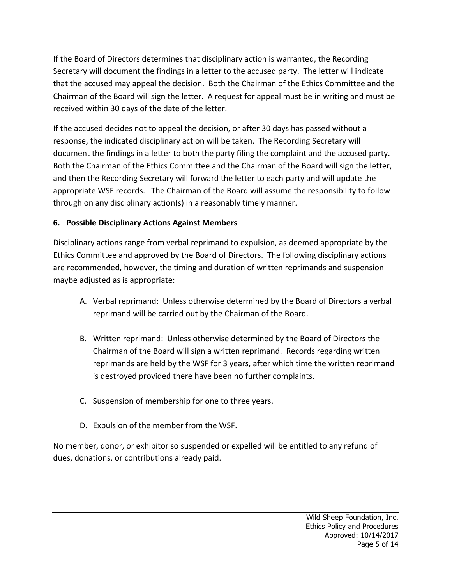If the Board of Directors determines that disciplinary action is warranted, the Recording Secretary will document the findings in a letter to the accused party. The letter will indicate that the accused may appeal the decision. Both the Chairman of the Ethics Committee and the Chairman of the Board will sign the letter. A request for appeal must be in writing and must be received within 30 days of the date of the letter.

If the accused decides not to appeal the decision, or after 30 days has passed without a response, the indicated disciplinary action will be taken. The Recording Secretary will document the findings in a letter to both the party filing the complaint and the accused party. Both the Chairman of the Ethics Committee and the Chairman of the Board will sign the letter, and then the Recording Secretary will forward the letter to each party and will update the appropriate WSF records. The Chairman of the Board will assume the responsibility to follow through on any disciplinary action(s) in a reasonably timely manner.

## **6. Possible Disciplinary Actions Against Members**

Disciplinary actions range from verbal reprimand to expulsion, as deemed appropriate by the Ethics Committee and approved by the Board of Directors. The following disciplinary actions are recommended, however, the timing and duration of written reprimands and suspension maybe adjusted as is appropriate:

- A. Verbal reprimand: Unless otherwise determined by the Board of Directors a verbal reprimand will be carried out by the Chairman of the Board.
- B. Written reprimand: Unless otherwise determined by the Board of Directors the Chairman of the Board will sign a written reprimand. Records regarding written reprimands are held by the WSF for 3 years, after which time the written reprimand is destroyed provided there have been no further complaints.
- C. Suspension of membership for one to three years.
- D. Expulsion of the member from the WSF.

No member, donor, or exhibitor so suspended or expelled will be entitled to any refund of dues, donations, or contributions already paid.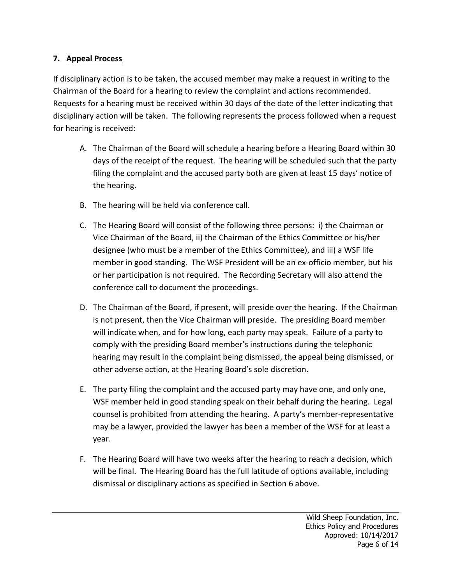## **7. Appeal Process**

If disciplinary action is to be taken, the accused member may make a request in writing to the Chairman of the Board for a hearing to review the complaint and actions recommended. Requests for a hearing must be received within 30 days of the date of the letter indicating that disciplinary action will be taken. The following represents the process followed when a request for hearing is received:

- A. The Chairman of the Board will schedule a hearing before a Hearing Board within 30 days of the receipt of the request. The hearing will be scheduled such that the party filing the complaint and the accused party both are given at least 15 days' notice of the hearing.
- B. The hearing will be held via conference call.
- C. The Hearing Board will consist of the following three persons: i) the Chairman or Vice Chairman of the Board, ii) the Chairman of the Ethics Committee or his/her designee (who must be a member of the Ethics Committee), and iii) a WSF life member in good standing. The WSF President will be an ex-officio member, but his or her participation is not required. The Recording Secretary will also attend the conference call to document the proceedings.
- D. The Chairman of the Board, if present, will preside over the hearing. If the Chairman is not present, then the Vice Chairman will preside. The presiding Board member will indicate when, and for how long, each party may speak. Failure of a party to comply with the presiding Board member's instructions during the telephonic hearing may result in the complaint being dismissed, the appeal being dismissed, or other adverse action, at the Hearing Board's sole discretion.
- E. The party filing the complaint and the accused party may have one, and only one, WSF member held in good standing speak on their behalf during the hearing. Legal counsel is prohibited from attending the hearing. A party's member-representative may be a lawyer, provided the lawyer has been a member of the WSF for at least a year.
- F. The Hearing Board will have two weeks after the hearing to reach a decision, which will be final. The Hearing Board has the full latitude of options available, including dismissal or disciplinary actions as specified in Section 6 above.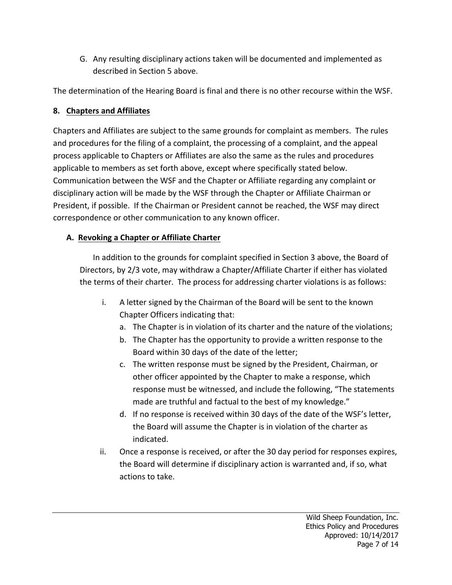G. Any resulting disciplinary actions taken will be documented and implemented as described in Section 5 above.

The determination of the Hearing Board is final and there is no other recourse within the WSF.

# **8.** Chapters and Affiliates

Chapters and Affiliates are subject to the same grounds for complaint as members. The rules and procedures for the filing of a complaint, the processing of a complaint, and the appeal process applicable to Chapters or Affiliates are also the same as the rules and procedures applicable to members as set forth above, except where specifically stated below. Communication between the WSF and the Chapter or Affiliate regarding any complaint or disciplinary action will be made by the WSF through the Chapter or Affiliate Chairman or President, if possible. If the Chairman or President cannot be reached, the WSF may direct correspondence or other communication to any known officer.

# **A. Revoking a Chapter or Affiliate Charter**

In addition to the grounds for complaint specified in Section 3 above, the Board of Directors, by 2/3 vote, may withdraw a Chapter/Affiliate Charter if either has violated the terms of their charter. The process for addressing charter violations is as follows:

- i. A letter signed by the Chairman of the Board will be sent to the known Chapter Officers indicating that:
	- a. The Chapter is in violation of its charter and the nature of the violations;
	- b. The Chapter has the opportunity to provide a written response to the Board within 30 days of the date of the letter;
	- c. The written response must be signed by the President, Chairman, or other officer appointed by the Chapter to make a response, which response must be witnessed, and include the following, "The statements made are truthful and factual to the best of my knowledge."
	- d. If no response is received within 30 days of the date of the WSF's letter, the Board will assume the Chapter is in violation of the charter as indicated.
- ii. Once a response is received, or after the 30 day period for responses expires, the Board will determine if disciplinary action is warranted and, if so, what actions to take.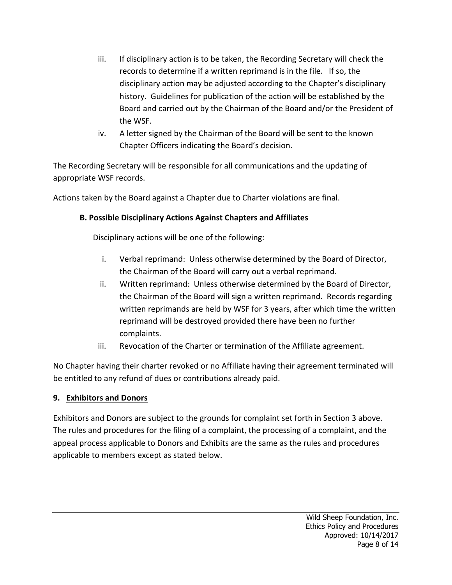- iii. If disciplinary action is to be taken, the Recording Secretary will check the records to determine if a written reprimand is in the file. If so, the disciplinary action may be adjusted according to the Chapter's disciplinary history. Guidelines for publication of the action will be established by the Board and carried out by the Chairman of the Board and/or the President of the WSF.
- iv. A letter signed by the Chairman of the Board will be sent to the known Chapter Officers indicating the Board's decision.

The Recording Secretary will be responsible for all communications and the updating of appropriate WSF records.

Actions taken by the Board against a Chapter due to Charter violations are final.

# **B. Possible Disciplinary Actions Against Chapters and Affiliates**

Disciplinary actions will be one of the following:

- i. Verbal reprimand: Unless otherwise determined by the Board of Director, the Chairman of the Board will carry out a verbal reprimand.
- ii. Written reprimand: Unless otherwise determined by the Board of Director, the Chairman of the Board will sign a written reprimand. Records regarding written reprimands are held by WSF for 3 years, after which time the written reprimand will be destroyed provided there have been no further complaints.
- iii. Revocation of the Charter or termination of the Affiliate agreement.

No Chapter having their charter revoked or no Affiliate having their agreement terminated will be entitled to any refund of dues or contributions already paid.

#### **9. Exhibitors and Donors**

Exhibitors and Donors are subject to the grounds for complaint set forth in Section 3 above. The rules and procedures for the filing of a complaint, the processing of a complaint, and the appeal process applicable to Donors and Exhibits are the same as the rules and procedures applicable to members except as stated below.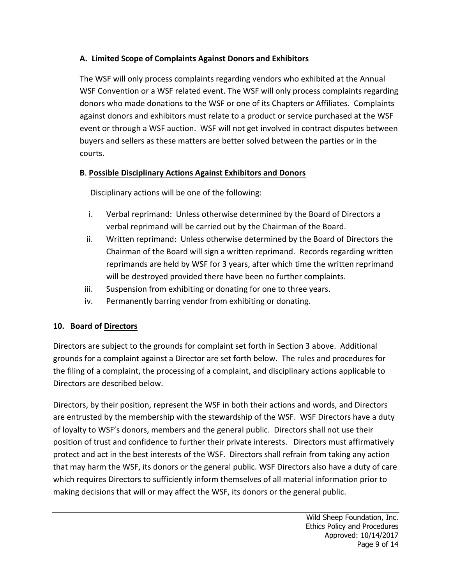## A. Limited Scope of Complaints Against Donors and Exhibitors

The WSF will only process complaints regarding vendors who exhibited at the Annual WSF Convention or a WSF related event. The WSF will only process complaints regarding donors who made donations to the WSF or one of its Chapters or Affiliates. Complaints against donors and exhibitors must relate to a product or service purchased at the WSF event or through a WSF auction. WSF will not get involved in contract disputes between buyers and sellers as these matters are better solved between the parties or in the courts.

## **B**. **Possible Disciplinary Actions Against Exhibitors and Donors**

Disciplinary actions will be one of the following:

- i. Verbal reprimand: Unless otherwise determined by the Board of Directors a verbal reprimand will be carried out by the Chairman of the Board.
- ii. Written reprimand: Unless otherwise determined by the Board of Directors the Chairman of the Board will sign a written reprimand. Records regarding written reprimands are held by WSF for 3 years, after which time the written reprimand will be destroyed provided there have been no further complaints.
- iii. Suspension from exhibiting or donating for one to three years.
- iv. Permanently barring vendor from exhibiting or donating.

# **10. Board of Directors**

Directors are subject to the grounds for complaint set forth in Section 3 above. Additional grounds for a complaint against a Director are set forth below. The rules and procedures for the filing of a complaint, the processing of a complaint, and disciplinary actions applicable to Directors are described below.

Directors, by their position, represent the WSF in both their actions and words, and Directors are entrusted by the membership with the stewardship of the WSF. WSF Directors have a duty of loyalty to WSF's donors, members and the general public. Directors shall not use their position of trust and confidence to further their private interests. Directors must affirmatively protect and act in the best interests of the WSF. Directors shall refrain from taking any action that may harm the WSF, its donors or the general public. WSF Directors also have a duty of care which requires Directors to sufficiently inform themselves of all material information prior to making decisions that will or may affect the WSF, its donors or the general public.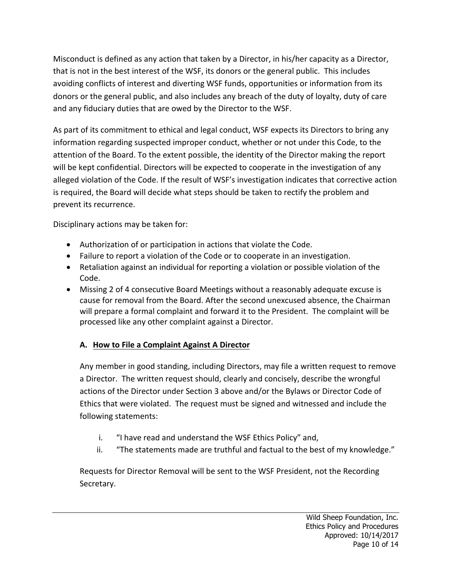Misconduct is defined as any action that taken by a Director, in his/her capacity as a Director, that is not in the best interest of the WSF, its donors or the general public. This includes avoiding conflicts of interest and diverting WSF funds, opportunities or information from its donors or the general public, and also includes any breach of the duty of loyalty, duty of care and any fiduciary duties that are owed by the Director to the WSF.

As part of its commitment to ethical and legal conduct, WSF expects its Directors to bring any information regarding suspected improper conduct, whether or not under this Code, to the attention of the Board. To the extent possible, the identity of the Director making the report will be kept confidential. Directors will be expected to cooperate in the investigation of any alleged violation of the Code. If the result of WSF's investigation indicates that corrective action is required, the Board will decide what steps should be taken to rectify the problem and prevent its recurrence.

Disciplinary actions may be taken for:

- Authorization of or participation in actions that violate the Code.
- Failure to report a violation of the Code or to cooperate in an investigation.
- Retaliation against an individual for reporting a violation or possible violation of the Code.
- Missing 2 of 4 consecutive Board Meetings without a reasonably adequate excuse is cause for removal from the Board. After the second unexcused absence, the Chairman will prepare a formal complaint and forward it to the President. The complaint will be processed like any other complaint against a Director.

# **A. How to File a Complaint Against A Director**

Any member in good standing, including Directors, may file a written request to remove a Director. The written request should, clearly and concisely, describe the wrongful actions of the Director under Section 3 above and/or the Bylaws or Director Code of Ethics that were violated. The request must be signed and witnessed and include the following statements:

- i. "I have read and understand the WSF Ethics Policy" and,
- ii. "The statements made are truthful and factual to the best of my knowledge."

Requests for Director Removal will be sent to the WSF President, not the Recording Secretary.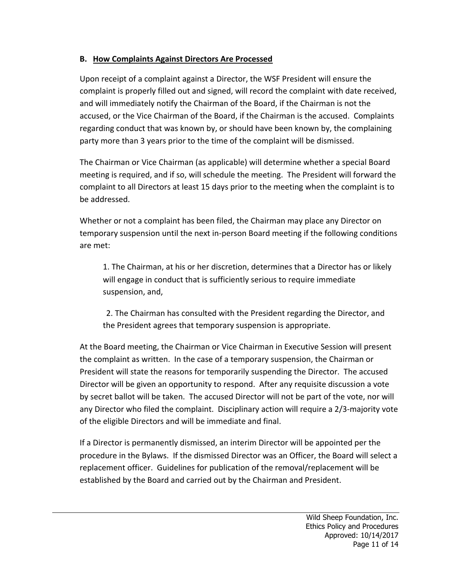## **B. How Complaints Against Directors Are Processed**

Upon receipt of a complaint against a Director, the WSF President will ensure the complaint is properly filled out and signed, will record the complaint with date received, and will immediately notify the Chairman of the Board, if the Chairman is not the accused, or the Vice Chairman of the Board, if the Chairman is the accused. Complaints regarding conduct that was known by, or should have been known by, the complaining party more than 3 years prior to the time of the complaint will be dismissed.

The Chairman or Vice Chairman (as applicable) will determine whether a special Board meeting is required, and if so, will schedule the meeting. The President will forward the complaint to all Directors at least 15 days prior to the meeting when the complaint is to be addressed.

Whether or not a complaint has been filed, the Chairman may place any Director on temporary suspension until the next in-person Board meeting if the following conditions are met:

1. The Chairman, at his or her discretion, determines that a Director has or likely will engage in conduct that is sufficiently serious to require immediate suspension, and,

2. The Chairman has consulted with the President regarding the Director, and the President agrees that temporary suspension is appropriate.

At the Board meeting, the Chairman or Vice Chairman in Executive Session will present the complaint as written. In the case of a temporary suspension, the Chairman or President will state the reasons for temporarily suspending the Director. The accused Director will be given an opportunity to respond. After any requisite discussion a vote by secret ballot will be taken. The accused Director will not be part of the vote, nor will any Director who filed the complaint. Disciplinary action will require a 2/3-majority vote of the eligible Directors and will be immediate and final.

If a Director is permanently dismissed, an interim Director will be appointed per the procedure in the Bylaws. If the dismissed Director was an Officer, the Board will select a replacement officer. Guidelines for publication of the removal/replacement will be established by the Board and carried out by the Chairman and President.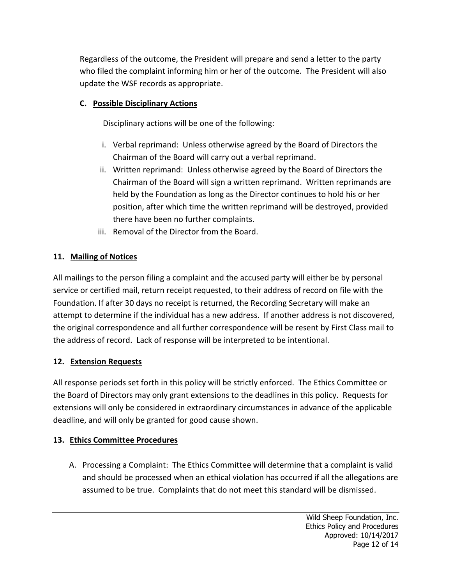Regardless of the outcome, the President will prepare and send a letter to the party who filed the complaint informing him or her of the outcome. The President will also update the WSF records as appropriate.

## **C. Possible Disciplinary Actions**

Disciplinary actions will be one of the following:

- i. Verbal reprimand: Unless otherwise agreed by the Board of Directors the Chairman of the Board will carry out a verbal reprimand.
- ii. Written reprimand: Unless otherwise agreed by the Board of Directors the Chairman of the Board will sign a written reprimand. Written reprimands are held by the Foundation as long as the Director continues to hold his or her position, after which time the written reprimand will be destroyed, provided there have been no further complaints.
- iii. Removal of the Director from the Board.

## **11. Mailing of Notices**

All mailings to the person filing a complaint and the accused party will either be by personal service or certified mail, return receipt requested, to their address of record on file with the Foundation. If after 30 days no receipt is returned, the Recording Secretary will make an attempt to determine if the individual has a new address. If another address is not discovered, the original correspondence and all further correspondence will be resent by First Class mail to the address of record. Lack of response will be interpreted to be intentional.

#### **12. Extension Requests**

All response periods set forth in this policy will be strictly enforced. The Ethics Committee or the Board of Directors may only grant extensions to the deadlines in this policy. Requests for extensions will only be considered in extraordinary circumstances in advance of the applicable deadline, and will only be granted for good cause shown.

#### **13. Ethics Committee Procedures**

A. Processing a Complaint: The Ethics Committee will determine that a complaint is valid and should be processed when an ethical violation has occurred if all the allegations are assumed to be true. Complaints that do not meet this standard will be dismissed.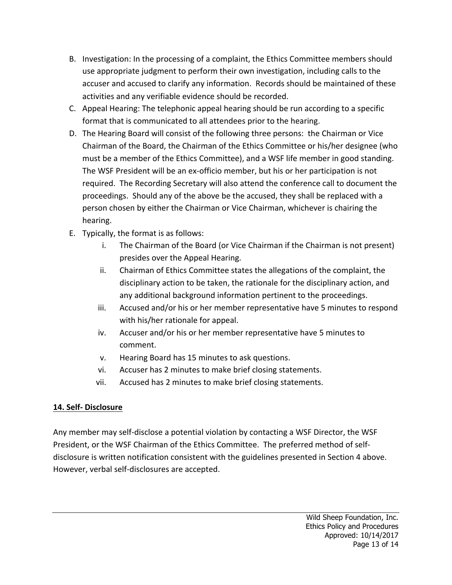- B. Investigation: In the processing of a complaint, the Ethics Committee members should use appropriate judgment to perform their own investigation, including calls to the accuser and accused to clarify any information. Records should be maintained of these activities and any verifiable evidence should be recorded.
- C. Appeal Hearing: The telephonic appeal hearing should be run according to a specific format that is communicated to all attendees prior to the hearing.
- D. The Hearing Board will consist of the following three persons: the Chairman or Vice Chairman of the Board, the Chairman of the Ethics Committee or his/her designee (who must be a member of the Ethics Committee), and a WSF life member in good standing. The WSF President will be an ex-officio member, but his or her participation is not required. The Recording Secretary will also attend the conference call to document the proceedings. Should any of the above be the accused, they shall be replaced with a person chosen by either the Chairman or Vice Chairman, whichever is chairing the hearing.
- E. Typically, the format is as follows:
	- i. The Chairman of the Board (or Vice Chairman if the Chairman is not present) presides over the Appeal Hearing.
	- ii. Chairman of Ethics Committee states the allegations of the complaint, the disciplinary action to be taken, the rationale for the disciplinary action, and any additional background information pertinent to the proceedings.
	- iii. Accused and/or his or her member representative have 5 minutes to respond with his/her rationale for appeal.
	- iv. Accuser and/or his or her member representative have 5 minutes to comment.
	- v. Hearing Board has 15 minutes to ask questions.
	- vi. Accuser has 2 minutes to make brief closing statements.
	- vii. Accused has 2 minutes to make brief closing statements.

# **14. Self- Disclosure**

Any member may self-disclose a potential violation by contacting a WSF Director, the WSF President, or the WSF Chairman of the Ethics Committee. The preferred method of selfdisclosure is written notification consistent with the guidelines presented in Section 4 above. However, verbal self-disclosures are accepted.